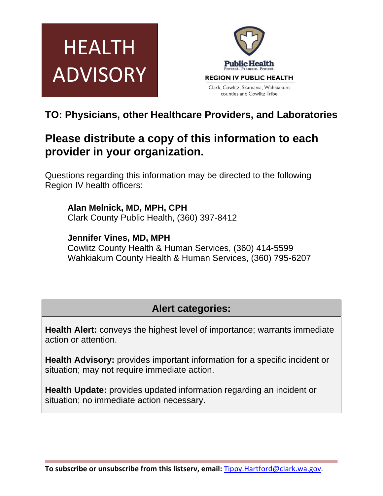



## **TO: Physicians, other Healthcare Providers, and Laboratories**

# **Please distribute a copy of this information to each provider in your organization.**

Questions regarding this information may be directed to the following Region IV health officers:

**Alan Melnick, MD, MPH, CPH**  Clark County Public Health, (360) 397-8412

**Jennifer Vines, MD, MPH**  Cowlitz County Health & Human Services, (360) 414-5599 Wahkiakum County Health & Human Services, (360) 795-6207

## **Alert categories:**

**Health Alert:** conveys the highest level of importance; warrants immediate action or attention.

**Health Advisory:** provides important information for a specific incident or situation; may not require immediate action.

**Health Update:** provides updated information regarding an incident or situation; no immediate action necessary.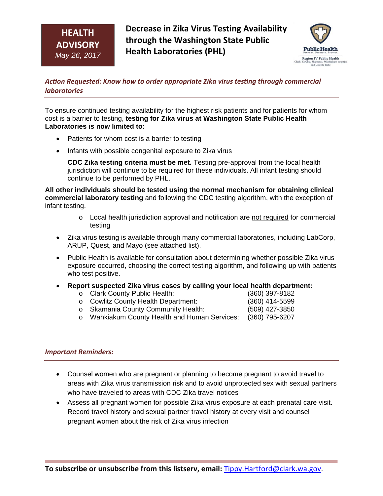## **HEALTH ADVISORY** *May 26, 2017*

**Decrease in Zika Virus Testing Availability through the Washington State Public Health Laboratories (PHL)**



*AcƟon Requested: Know how to order appropriate Zika virus tesƟng through commercial laboratories*

To ensure continued testing availability for the highest risk patients and for patients for whom cost is a barrier to testing, **testing for Zika virus at Washington State Public Health Laboratories is now limited to:**

- Patients for whom cost is a barrier to testing
- Infants with possible congenital exposure to Zika virus

**CDC Zika testing criteria must be met.** Testing pre-approval from the local health jurisdiction will continue to be required for these individuals. All infant testing should continue to be performed by PHL.

**All other individuals should be tested using the normal mechanism for obtaining clinical commercial laboratory testing** and following the CDC testing algorithm, with the exception of infant testing.

- o Local health jurisdiction approval and notification are not required for commercial testing
- Zika virus testing is available through many commercial laboratories, including LabCorp, ARUP, Quest, and Mayo (see attached list).
- Public Health is available for consultation about determining whether possible Zika virus exposure occurred, choosing the correct testing algorithm, and following up with patients who test positive.
- **Report suspected Zika virus cases by calling your local health department:** 
	- o Clark County Public Health: (360) 397-8182
	- o Cowlitz County Health Department: (360) 414-5599 o Skamania County Community Health: (509) 427-3850
	- o Wahkiakum County Health and Human Services: (360) 795-6207

## *Important Reminders:*

- Counsel women who are pregnant or planning to become pregnant to avoid travel to areas with Zika virus transmission risk and to avoid unprotected sex with sexual partners who have traveled to areas with CDC Zika travel notices
- Assess all pregnant women for possible Zika virus exposure at each prenatal care visit. Record travel history and sexual partner travel history at every visit and counsel pregnant women about the risk of Zika virus infection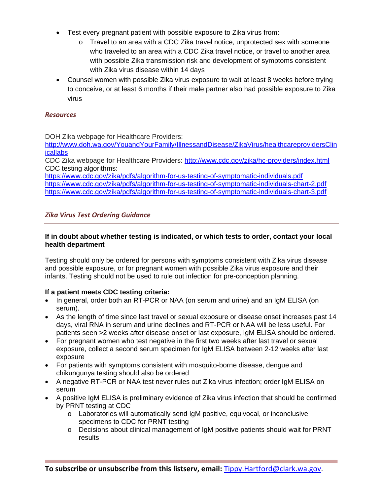- Test every pregnant patient with possible exposure to Zika virus from:
	- o Travel to an area with a CDC Zika travel notice, unprotected sex with someone who traveled to an area with a CDC Zika travel notice, or travel to another area with possible Zika transmission risk and development of symptoms consistent with Zika virus disease within 14 days
- Counsel women with possible Zika virus exposure to wait at least 8 weeks before trying to conceive, or at least 6 months if their male partner also had possible exposure to Zika virus

## *Resources*

DOH Zika webpage for Healthcare Providers:

http://www.doh.wa.gov/YouandYourFamily/IllnessandDisease/ZikaVirus/healthcareprovidersClin **icallabs** 

CDC Zika webpage for Healthcare Providers: http://www.cdc.gov/zika/hc-providers/index.html CDC testing algorithms:

https://www.cdc.gov/zika/pdfs/algorithm-for-us-testing-of-symptomatic-individuals.pdf https://www.cdc.gov/zika/pdfs/algorithm-for-us-testing-of-symptomatic-individuals-chart-2.pdf https://www.cdc.gov/zika/pdfs/algorithm-for-us-testing-of-symptomatic-individuals-chart-3.pdf

## *Zika Virus Test Ordering Guidance*

## **If in doubt about whether testing is indicated, or which tests to order, contact your local health department**

Testing should only be ordered for persons with symptoms consistent with Zika virus disease and possible exposure, or for pregnant women with possible Zika virus exposure and their infants. Testing should not be used to rule out infection for pre-conception planning.

## **If a patient meets CDC testing criteria:**

- In general, order both an RT-PCR or NAA (on serum and urine) and an IgM ELISA (on serum).
- As the length of time since last travel or sexual exposure or disease onset increases past 14 days, viral RNA in serum and urine declines and RT-PCR or NAA will be less useful. For patients seen >2 weeks after disease onset or last exposure, IgM ELISA should be ordered.
- For pregnant women who test negative in the first two weeks after last travel or sexual exposure, collect a second serum specimen for IgM ELISA between 2-12 weeks after last exposure
- For patients with symptoms consistent with mosquito-borne disease, dengue and chikungunya testing should also be ordered
- A negative RT-PCR or NAA test never rules out Zika virus infection; order IgM ELISA on serum
- A positive IgM ELISA is preliminary evidence of Zika virus infection that should be confirmed by PRNT testing at CDC
	- o Laboratories will automatically send IgM positive, equivocal, or inconclusive specimens to CDC for PRNT testing
	- o Decisions about clinical management of IgM positive patients should wait for PRNT results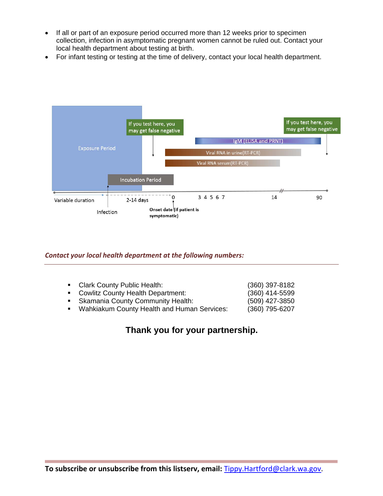- If all or part of an exposure period occurred more than 12 weeks prior to specimen collection, infection in asymptomatic pregnant women cannot be ruled out. Contact your local health department about testing at birth.
- For infant testing or testing at the time of delivery, contact your local health department.



#### *Contact your local health department at the following numbers:*

| • Clark County Public Health:               | (360) 397-8182 |
|---------------------------------------------|----------------|
| • Cowlitz County Health Department:         | (360) 414-5599 |
| • Skamania County Community Health:         | (509) 427-3850 |
| Wahkiakum County Health and Human Services: | (360) 795-6207 |

## **Thank you for your partnership.**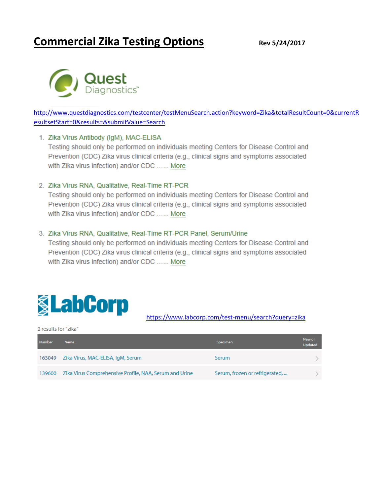# **Commercial Zika Testing Options Rev 5/24/2017**



[http://www.questdiagnostics.com/testcenter/testMenuSearch.action?keyword=Zika&totalResultCount=0&currentR](http://www.questdiagnostics.com/testcenter/testMenuSearch.action?keyword=Zika&totalResultCount=0¤tResultsetStart=0&results=&submitValue=Search) [esultsetStart=0&results=&submitValue=Search](http://www.questdiagnostics.com/testcenter/testMenuSearch.action?keyword=Zika&totalResultCount=0¤tResultsetStart=0&results=&submitValue=Search)

#### 1. Zika Virus Antibody (IgM), MAC-ELISA

Testing should only be performed on individuals meeting Centers for Disease Control and Prevention (CDC) Zika virus clinical criteria (e.g., clinical signs and symptoms associated with Zika virus infection) and/or CDC ...... More

#### 2. Zika Virus RNA, Qualitative, Real-Time RT-PCR

Testing should only be performed on individuals meeting Centers for Disease Control and Prevention (CDC) Zika virus clinical criteria (e.g., clinical signs and symptoms associated with Zika virus infection) and/or CDC ...... More

#### 3. Zika Virus RNA, Qualitative, Real-Time RT-PCR Panel, Serum/Urine

Testing should only be performed on individuals meeting Centers for Disease Control and Prevention (CDC) Zika virus clinical criteria (e.g., clinical signs and symptoms associated with Zika virus infection) and/or CDC ...... More



<https://www.labcorp.com/test-menu/search?query=zika>

#### 2 results for "zika"

| <b>Number</b> | <b>Name</b>                                            | <b>Specimen</b>                | New or<br><b>Updated</b> |
|---------------|--------------------------------------------------------|--------------------------------|--------------------------|
| 163049        | Zika Virus, MAC-ELISA, IgM, Serum                      | Serum                          |                          |
| 139600        | Zika Virus Comprehensive Profile, NAA, Serum and Urine | Serum, frozen or refrigerated, |                          |